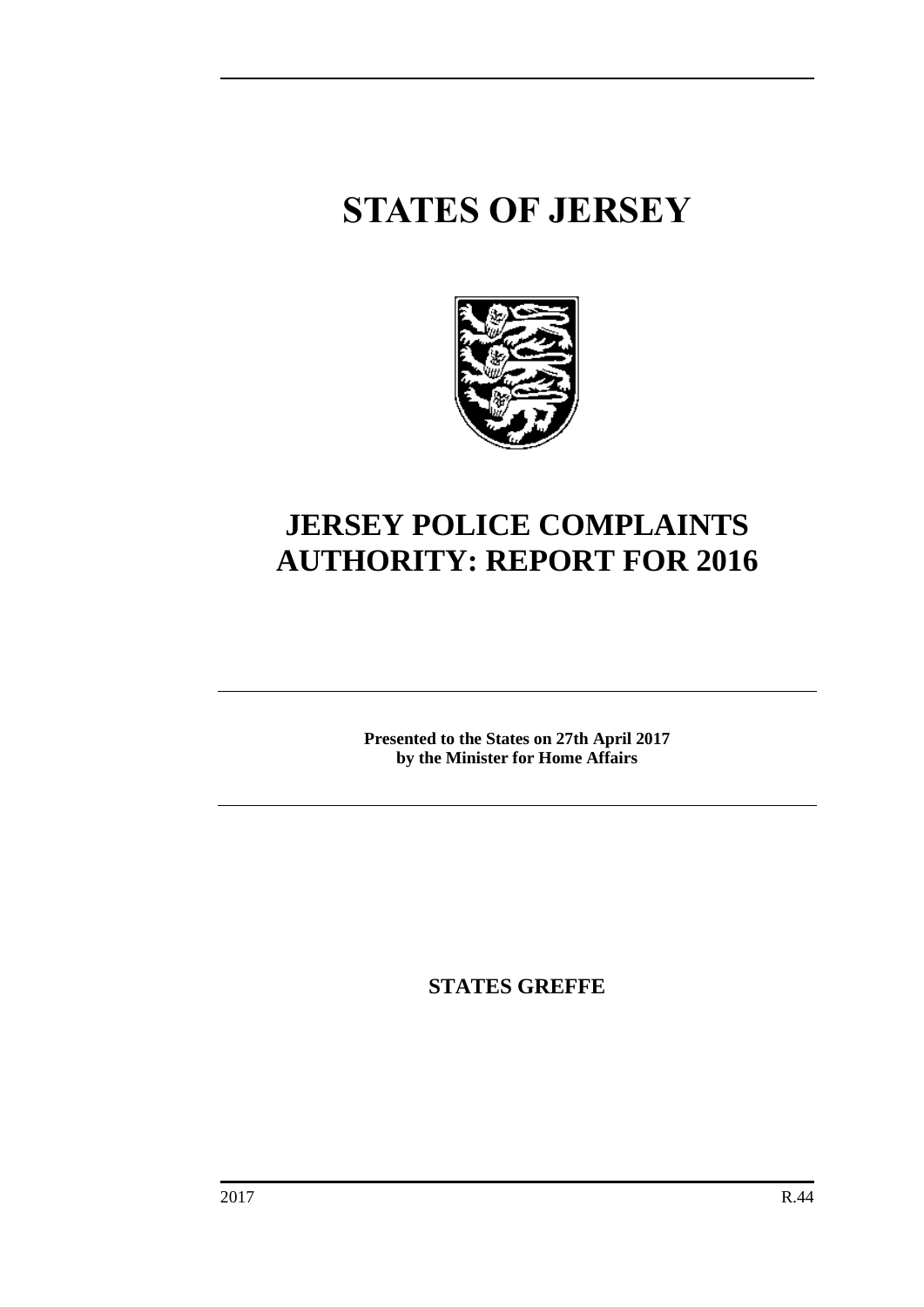# **STATES OF JERSEY**



# **JERSEY POLICE COMPLAINTS AUTHORITY: REPORT FOR 2016**

**Presented to the States on 27th April 2017 by the Minister for Home Affairs**

**STATES GREFFE**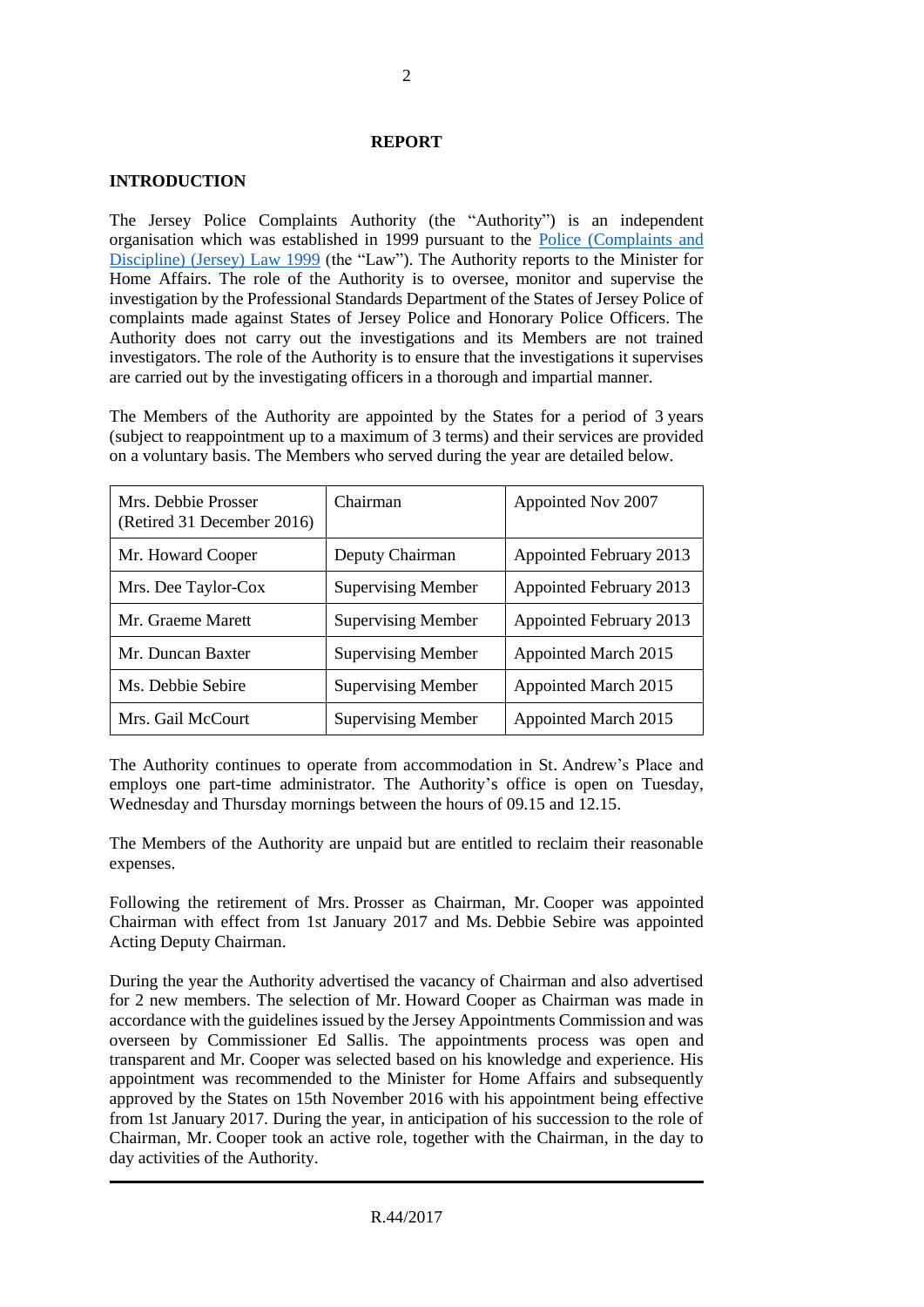#### **REPORT**

#### **INTRODUCTION**

The Jersey Police Complaints Authority (the "Authority") is an independent organisation which was established in 1999 pursuant to the [Police \(Complaints and](https://www.jerseylaw.je/laws/revised/Pages/23.325.aspx)  [Discipline\) \(Jersey\) Law 1999](https://www.jerseylaw.je/laws/revised/Pages/23.325.aspx) (the "Law"). The Authority reports to the Minister for Home Affairs. The role of the Authority is to oversee, monitor and supervise the investigation by the Professional Standards Department of the States of Jersey Police of complaints made against States of Jersey Police and Honorary Police Officers. The Authority does not carry out the investigations and its Members are not trained investigators. The role of the Authority is to ensure that the investigations it supervises are carried out by the investigating officers in a thorough and impartial manner.

The Members of the Authority are appointed by the States for a period of 3 years (subject to reappointment up to a maximum of 3 terms) and their services are provided on a voluntary basis. The Members who served during the year are detailed below.

| Mrs. Debbie Prosser<br>(Retired 31 December 2016) | Chairman                  | Appointed Nov 2007      |
|---------------------------------------------------|---------------------------|-------------------------|
| Mr. Howard Cooper                                 | Deputy Chairman           | Appointed February 2013 |
| Mrs. Dee Taylor-Cox                               | <b>Supervising Member</b> | Appointed February 2013 |
| Mr. Graeme Marett                                 | <b>Supervising Member</b> | Appointed February 2013 |
| Mr. Duncan Baxter                                 | <b>Supervising Member</b> | Appointed March 2015    |
| Ms. Debbie Sebire                                 | <b>Supervising Member</b> | Appointed March 2015    |
| Mrs. Gail McCourt                                 | <b>Supervising Member</b> | Appointed March 2015    |

The Authority continues to operate from accommodation in St. Andrew's Place and employs one part-time administrator. The Authority's office is open on Tuesday, Wednesday and Thursday mornings between the hours of 09.15 and 12.15.

The Members of the Authority are unpaid but are entitled to reclaim their reasonable expenses.

Following the retirement of Mrs. Prosser as Chairman, Mr. Cooper was appointed Chairman with effect from 1st January 2017 and Ms. Debbie Sebire was appointed Acting Deputy Chairman.

During the year the Authority advertised the vacancy of Chairman and also advertised for 2 new members. The selection of Mr. Howard Cooper as Chairman was made in accordance with the guidelines issued by the Jersey Appointments Commission and was overseen by Commissioner Ed Sallis. The appointments process was open and transparent and Mr. Cooper was selected based on his knowledge and experience. His appointment was recommended to the Minister for Home Affairs and subsequently approved by the States on 15th November 2016 with his appointment being effective from 1st January 2017. During the year, in anticipation of his succession to the role of Chairman, Mr. Cooper took an active role, together with the Chairman, in the day to day activities of the Authority.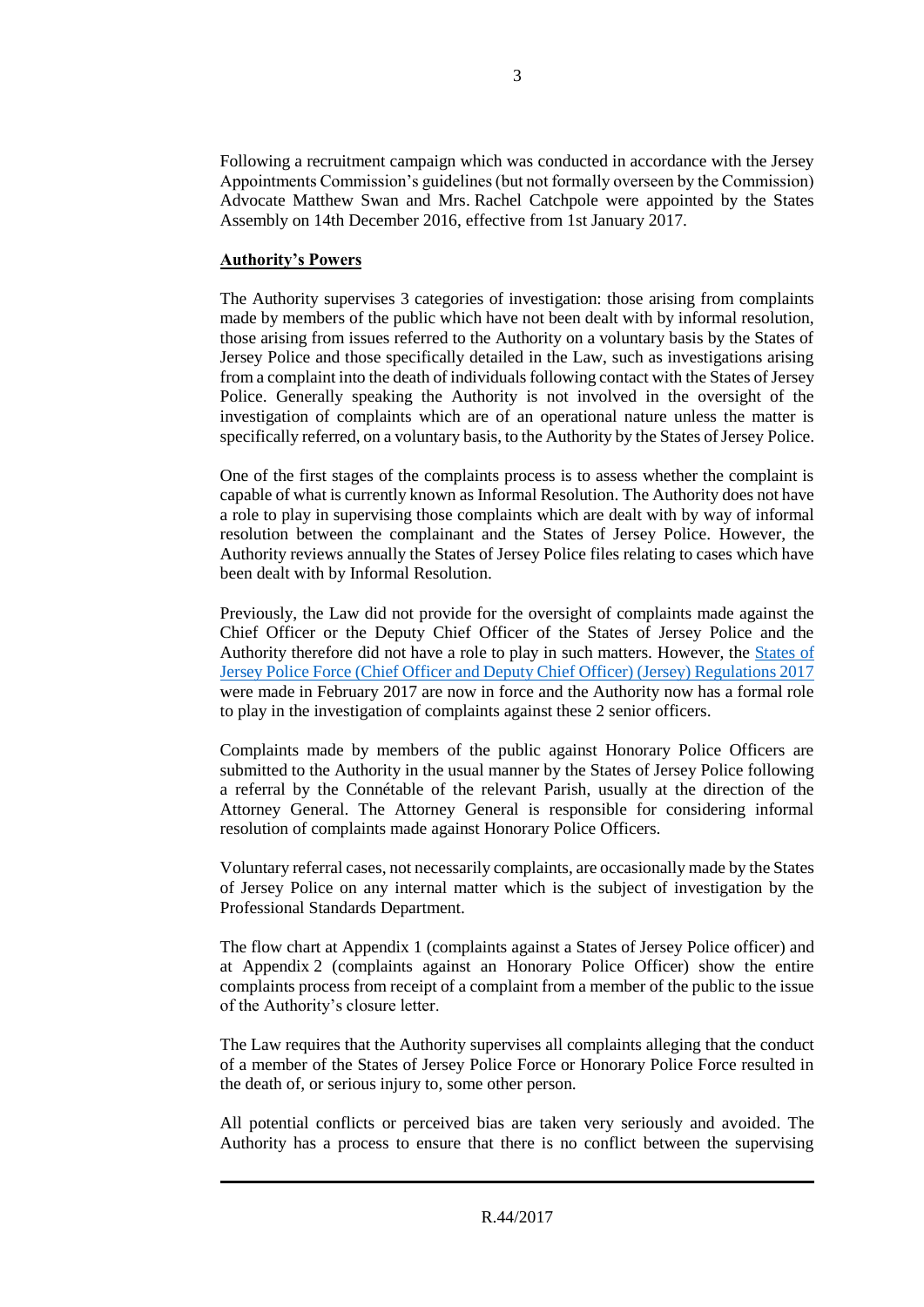Following a recruitment campaign which was conducted in accordance with the Jersey Appointments Commission's guidelines (but not formally overseen by the Commission) Advocate Matthew Swan and Mrs. Rachel Catchpole were appointed by the States Assembly on 14th December 2016, effective from 1st January 2017.

# **Authority's Powers**

The Authority supervises 3 categories of investigation: those arising from complaints made by members of the public which have not been dealt with by informal resolution, those arising from issues referred to the Authority on a voluntary basis by the States of Jersey Police and those specifically detailed in the Law, such as investigations arising from a complaint into the death of individuals following contact with the States of Jersey Police. Generally speaking the Authority is not involved in the oversight of the investigation of complaints which are of an operational nature unless the matter is specifically referred, on a voluntary basis, to the Authority by the States of Jersey Police.

One of the first stages of the complaints process is to assess whether the complaint is capable of what is currently known as Informal Resolution. The Authority does not have a role to play in supervising those complaints which are dealt with by way of informal resolution between the complainant and the States of Jersey Police. However, the Authority reviews annually the States of Jersey Police files relating to cases which have been dealt with by Informal Resolution.

Previously, the Law did not provide for the oversight of complaints made against the Chief Officer or the Deputy Chief Officer of the States of Jersey Police and the Authority therefore did not have a role to play in such matters. However, the [States of](https://www.jerseylaw.je/laws/enacted/Pages/RO-024-2017.aspx)  [Jersey Police Force \(Chief Officer and Deputy Chief Officer\) \(Jersey\) Regulations 2017](https://www.jerseylaw.je/laws/enacted/Pages/RO-024-2017.aspx) were made in February 2017 are now in force and the Authority now has a formal role to play in the investigation of complaints against these 2 senior officers.

Complaints made by members of the public against Honorary Police Officers are submitted to the Authority in the usual manner by the States of Jersey Police following a referral by the Connétable of the relevant Parish, usually at the direction of the Attorney General. The Attorney General is responsible for considering informal resolution of complaints made against Honorary Police Officers.

Voluntary referral cases, not necessarily complaints, are occasionally made by the States of Jersey Police on any internal matter which is the subject of investigation by the Professional Standards Department.

The flow chart at Appendix 1 (complaints against a States of Jersey Police officer) and at Appendix 2 (complaints against an Honorary Police Officer) show the entire complaints process from receipt of a complaint from a member of the public to the issue of the Authority's closure letter.

The Law requires that the Authority supervises all complaints alleging that the conduct of a member of the States of Jersey Police Force or Honorary Police Force resulted in the death of, or serious injury to, some other person.

All potential conflicts or perceived bias are taken very seriously and avoided. The Authority has a process to ensure that there is no conflict between the supervising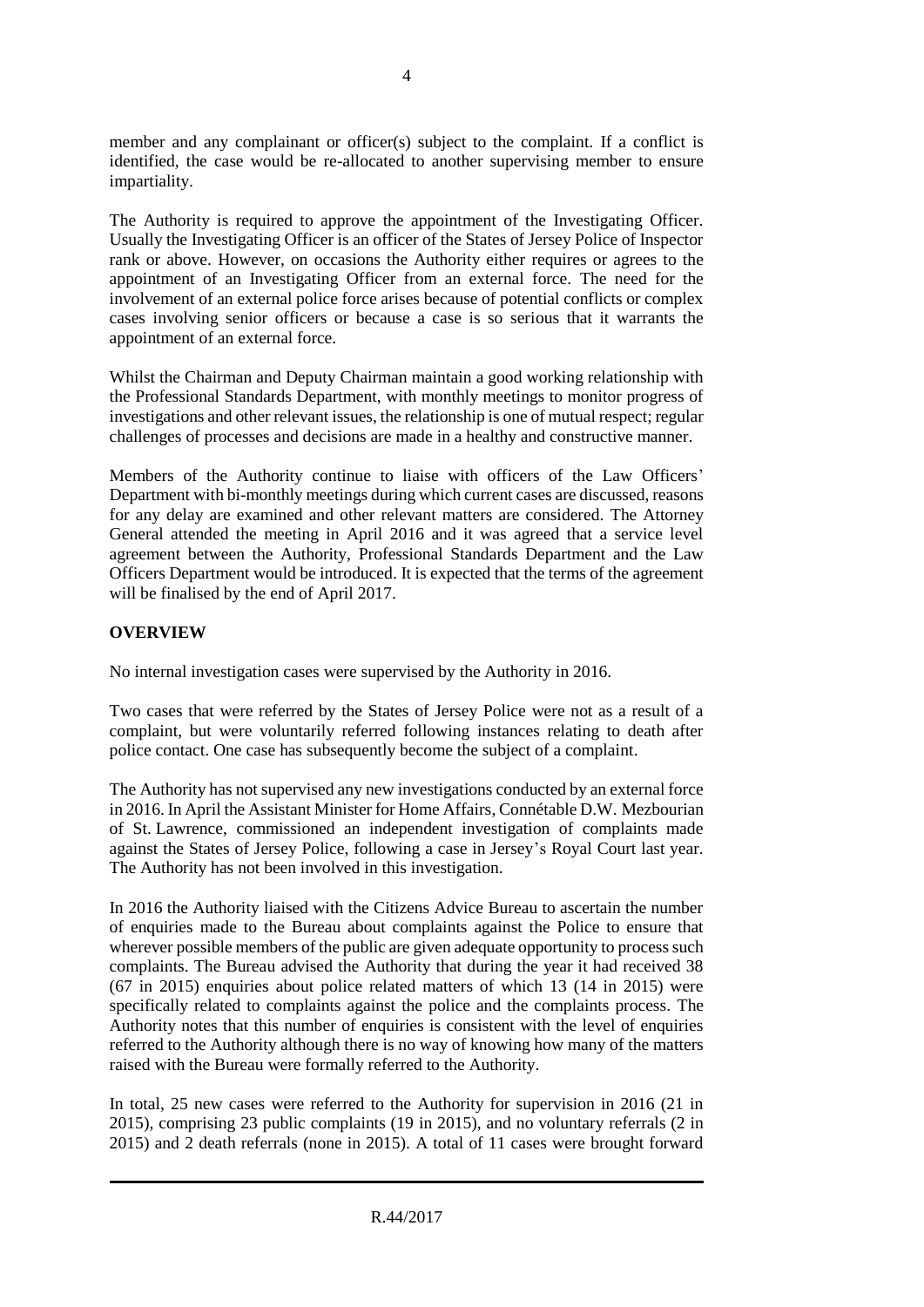member and any complainant or officer(s) subject to the complaint. If a conflict is identified, the case would be re-allocated to another supervising member to ensure impartiality.

The Authority is required to approve the appointment of the Investigating Officer. Usually the Investigating Officer is an officer of the States of Jersey Police of Inspector rank or above. However, on occasions the Authority either requires or agrees to the appointment of an Investigating Officer from an external force. The need for the involvement of an external police force arises because of potential conflicts or complex cases involving senior officers or because a case is so serious that it warrants the appointment of an external force.

Whilst the Chairman and Deputy Chairman maintain a good working relationship with the Professional Standards Department, with monthly meetings to monitor progress of investigations and other relevant issues, the relationship is one of mutual respect; regular challenges of processes and decisions are made in a healthy and constructive manner.

Members of the Authority continue to liaise with officers of the Law Officers' Department with bi-monthly meetings during which current cases are discussed, reasons for any delay are examined and other relevant matters are considered. The Attorney General attended the meeting in April 2016 and it was agreed that a service level agreement between the Authority, Professional Standards Department and the Law Officers Department would be introduced. It is expected that the terms of the agreement will be finalised by the end of April 2017.

# **OVERVIEW**

No internal investigation cases were supervised by the Authority in 2016.

Two cases that were referred by the States of Jersey Police were not as a result of a complaint, but were voluntarily referred following instances relating to death after police contact. One case has subsequently become the subject of a complaint.

The Authority has not supervised any new investigations conducted by an external force in 2016. In April the Assistant Minister for Home Affairs, Connétable D.W. Mezbourian of St. Lawrence, commissioned an independent investigation of complaints made against the States of Jersey Police, following a case in Jersey's Royal Court last year. The Authority has not been involved in this investigation.

In 2016 the Authority liaised with the Citizens Advice Bureau to ascertain the number of enquiries made to the Bureau about complaints against the Police to ensure that wherever possible members of the public are given adequate opportunity to process such complaints. The Bureau advised the Authority that during the year it had received 38 (67 in 2015) enquiries about police related matters of which 13 (14 in 2015) were specifically related to complaints against the police and the complaints process. The Authority notes that this number of enquiries is consistent with the level of enquiries referred to the Authority although there is no way of knowing how many of the matters raised with the Bureau were formally referred to the Authority.

In total, 25 new cases were referred to the Authority for supervision in 2016 (21 in 2015), comprising 23 public complaints (19 in 2015), and no voluntary referrals (2 in 2015) and 2 death referrals (none in 2015). A total of 11 cases were brought forward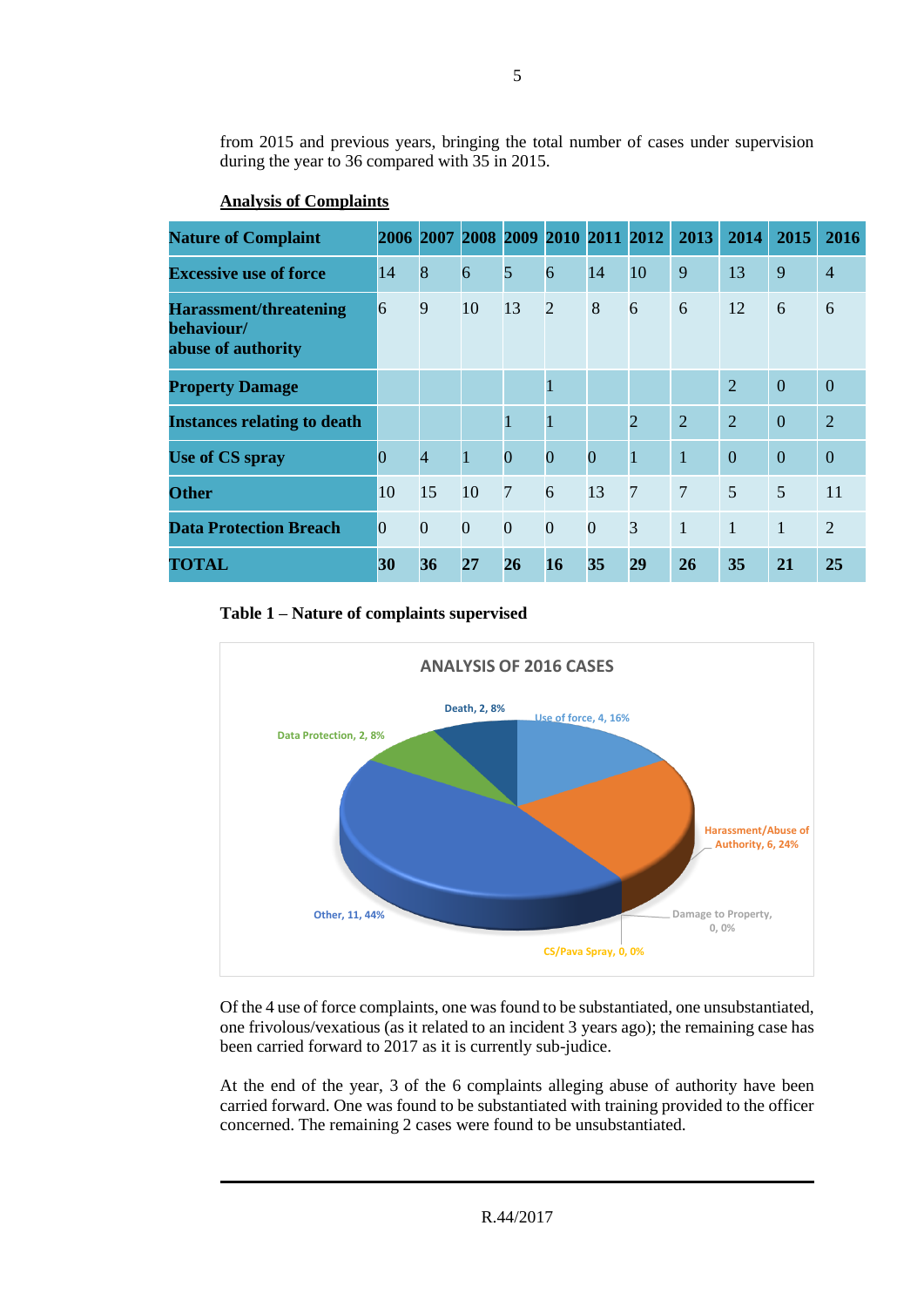from 2015 and previous years, bringing the total number of cases under supervision during the year to 36 compared with 35 in 2015.

| <b>Nature of Complaint</b>                                        |                 |                |                |                | 2006 2007 2008 2009 2010 2011 2012 |                |                | 2013           | 2014           | 2015           | 2016           |
|-------------------------------------------------------------------|-----------------|----------------|----------------|----------------|------------------------------------|----------------|----------------|----------------|----------------|----------------|----------------|
| <b>Excessive use of force</b>                                     | 14              | 8              | 6              | 5              | 6                                  | 14             | 10             | 9              | 13             | 9              | $\overline{4}$ |
| <b>Harassment/threatening</b><br>behaviour/<br>abuse of authority | 6               | 9              | 10             | 13             | $\overline{2}$                     | 8              | 6              | 6              | 12             | 6              | 6              |
| <b>Property Damage</b>                                            |                 |                |                |                | 1                                  |                |                |                | $\overline{2}$ | $\overline{0}$ | $\Omega$       |
| <b>Instances relating to death</b>                                |                 |                |                | 1              | 1                                  |                | $\overline{2}$ | $\overline{2}$ | $\overline{2}$ | $\overline{0}$ | $\overline{2}$ |
| Use of CS spray                                                   | $\overline{0}$  | $\overline{4}$ | $\overline{1}$ | $\overline{0}$ | $\overline{0}$                     | $\overline{0}$ | $\mathbf{1}$   | $\mathbf{1}$   | $\overline{0}$ | $\overline{0}$ | $\overline{0}$ |
| <b>Other</b>                                                      | 10              | 15             | 10             | $\overline{7}$ | 6                                  | 13             | $\overline{7}$ | $\overline{7}$ | 5              | 5              | 11             |
| <b>Data Protection Breach</b>                                     | $\vert 0 \vert$ | $\overline{0}$ | $\overline{0}$ | $\overline{0}$ | $\overline{0}$                     | $\overline{0}$ | $\overline{3}$ | $\mathbf{1}$   | $\mathbf{1}$   | $\mathbf{1}$   | $\overline{2}$ |
| TOTAL                                                             | 30              | 36             | 27             | 26             | <b>16</b>                          | 35             | 29             | <b>26</b>      | 35             | 21             | 25             |

# **Analysis of Complaints**

#### **Table 1 – Nature of complaints supervised**



Of the 4 use of force complaints, one was found to be substantiated, one unsubstantiated, one frivolous/vexatious (as it related to an incident 3 years ago); the remaining case has been carried forward to 2017 as it is currently sub-judice.

At the end of the year, 3 of the 6 complaints alleging abuse of authority have been carried forward. One was found to be substantiated with training provided to the officer concerned. The remaining 2 cases were found to be unsubstantiated.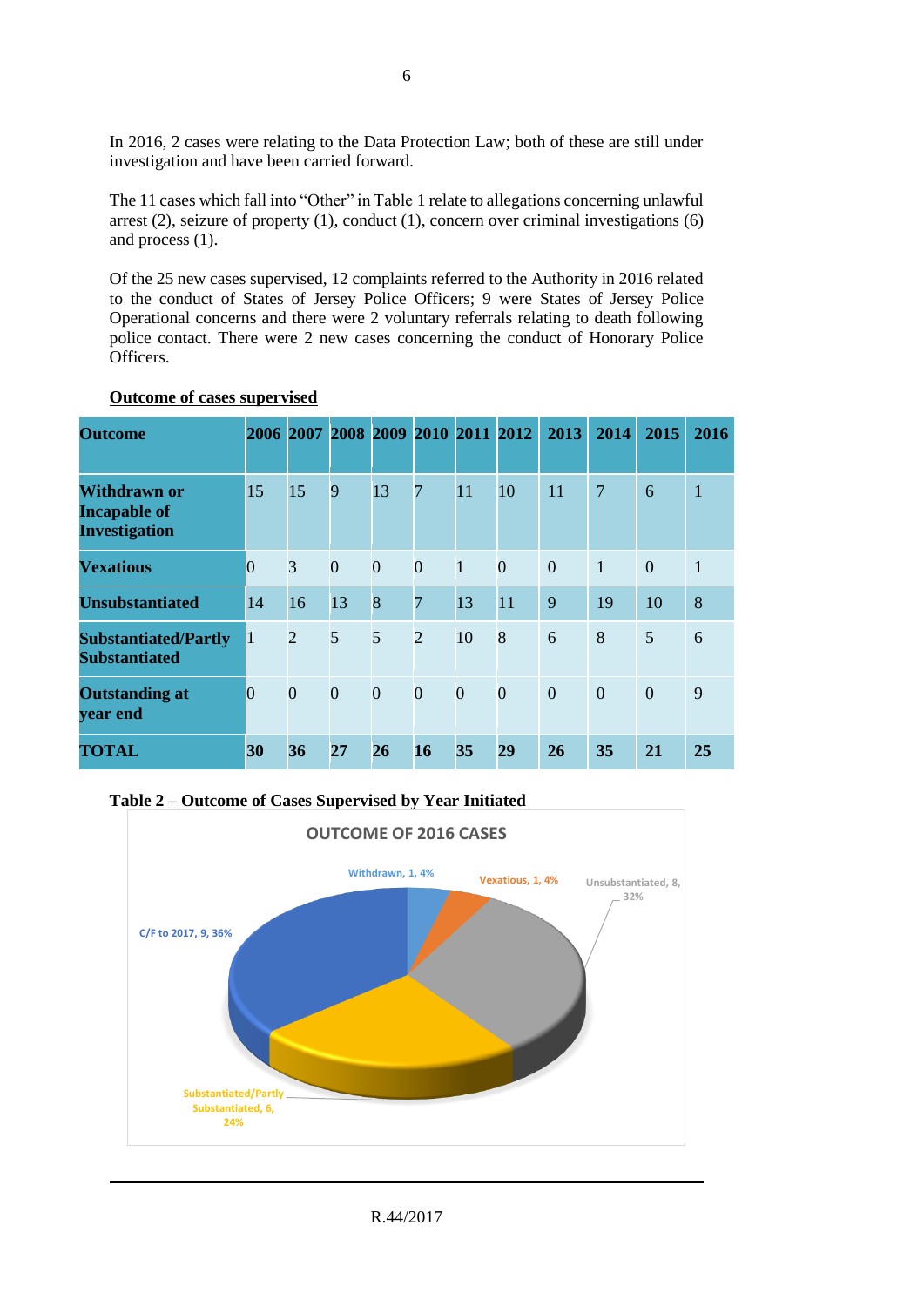In 2016, 2 cases were relating to the Data Protection Law; both of these are still under investigation and have been carried forward.

The 11 cases which fall into "Other" in Table 1 relate to allegations concerning unlawful arrest (2), seizure of property (1), conduct (1), concern over criminal investigations (6) and process (1).

Of the 25 new cases supervised, 12 complaints referred to the Authority in 2016 related to the conduct of States of Jersey Police Officers; 9 were States of Jersey Police Operational concerns and there were 2 voluntary referrals relating to death following police contact. There were 2 new cases concerning the conduct of Honorary Police Officers.

| <b>Outcome</b>                                              |                |                | 2006 2007 2008 2009 2010 2011 2012 |                |                |                |                | 2013           | 2014           | 2015           | 2016         |
|-------------------------------------------------------------|----------------|----------------|------------------------------------|----------------|----------------|----------------|----------------|----------------|----------------|----------------|--------------|
| Withdrawn or<br><b>Incapable of</b><br><b>Investigation</b> | 15             | 15             | 9                                  | 13             | $\overline{7}$ | 11             | 10             | 11             | $\overline{7}$ | 6              | $\mathbf{1}$ |
| <b>Vexatious</b>                                            | $\overline{0}$ | 3              | $\overline{0}$                     | $\overline{0}$ | $\overline{0}$ | $\vert$        | $\overline{0}$ | $\overline{0}$ | $\mathbf{1}$   | $\overline{0}$ | $\mathbf{1}$ |
| <b>Unsubstantiated</b>                                      | 14             | 16             | 13                                 | 8              | $\overline{7}$ | 13             | 11             | 9              | 19             | 10             | 8            |
| <b>Substantiated/Partly</b><br><b>Substantiated</b>         | $\mathbf{1}$   | $\overline{2}$ | 5                                  | 5              | $\overline{2}$ | 10             | 8              | 6              | 8              | 5              | 6            |
| <b>Outstanding at</b><br>year end                           | $\overline{0}$ | $\overline{0}$ | $\overline{0}$                     | $\overline{0}$ | $\overline{0}$ | $\overline{0}$ | $\overline{0}$ | $\overline{0}$ | $\theta$       | $\overline{0}$ | 9            |
| TOTAL                                                       | 30             | 36             | 27                                 | 26             | 16             | 35             | 29             | 26             | 35             | 21             | 25           |

#### **Outcome of cases supervised**

**Table 2 – Outcome of Cases Supervised by Year Initiated** 

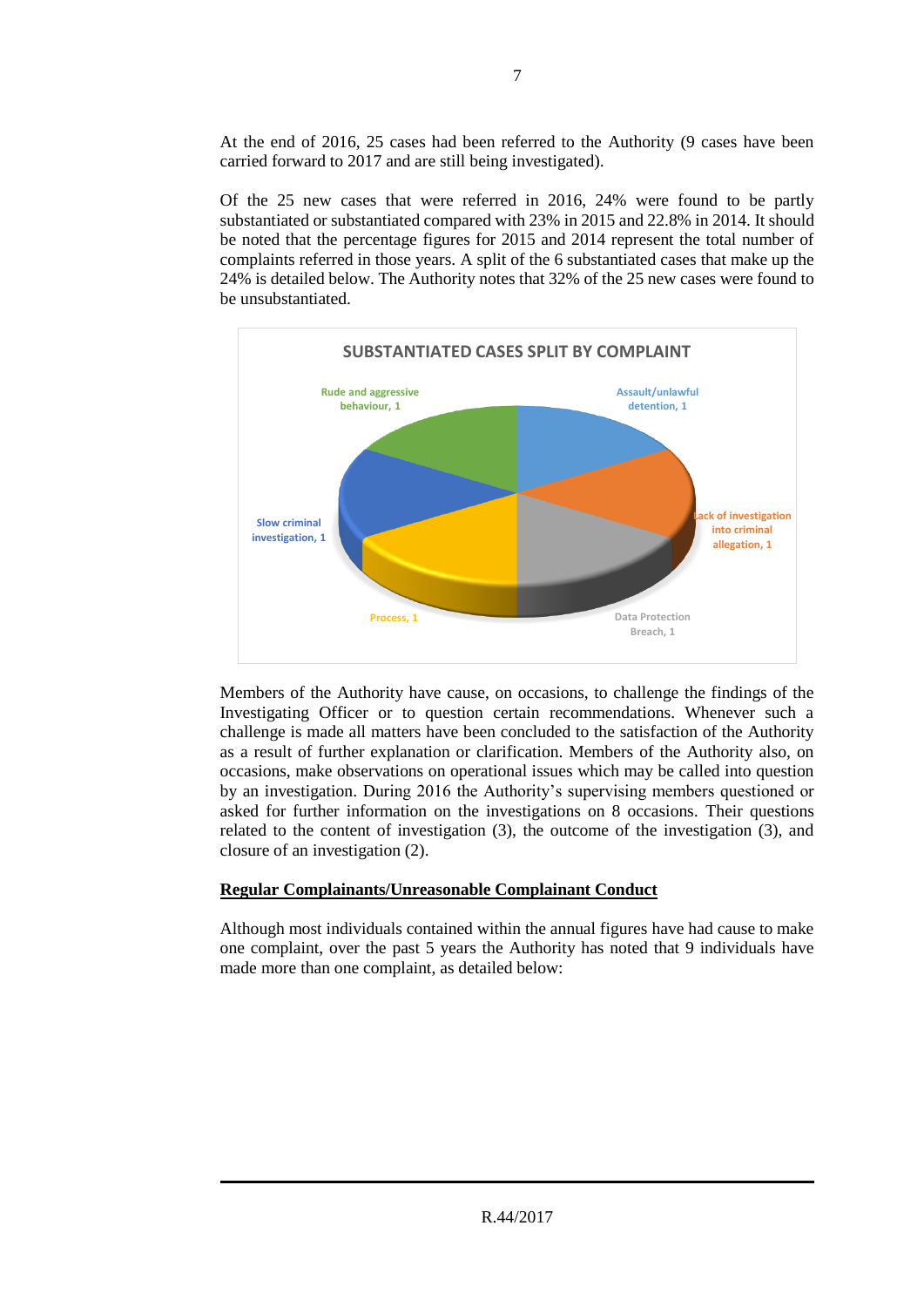At the end of 2016, 25 cases had been referred to the Authority (9 cases have been carried forward to 2017 and are still being investigated).

Of the 25 new cases that were referred in 2016, 24% were found to be partly substantiated or substantiated compared with 23% in 2015 and 22.8% in 2014. It should be noted that the percentage figures for 2015 and 2014 represent the total number of complaints referred in those years. A split of the 6 substantiated cases that make up the 24% is detailed below. The Authority notes that 32% of the 25 new cases were found to be unsubstantiated.



Members of the Authority have cause, on occasions, to challenge the findings of the Investigating Officer or to question certain recommendations. Whenever such a challenge is made all matters have been concluded to the satisfaction of the Authority as a result of further explanation or clarification. Members of the Authority also, on occasions, make observations on operational issues which may be called into question by an investigation. During 2016 the Authority's supervising members questioned or asked for further information on the investigations on 8 occasions. Their questions related to the content of investigation (3), the outcome of the investigation (3), and closure of an investigation (2).

# **Regular Complainants/Unreasonable Complainant Conduct**

Although most individuals contained within the annual figures have had cause to make one complaint, over the past 5 years the Authority has noted that 9 individuals have made more than one complaint, as detailed below: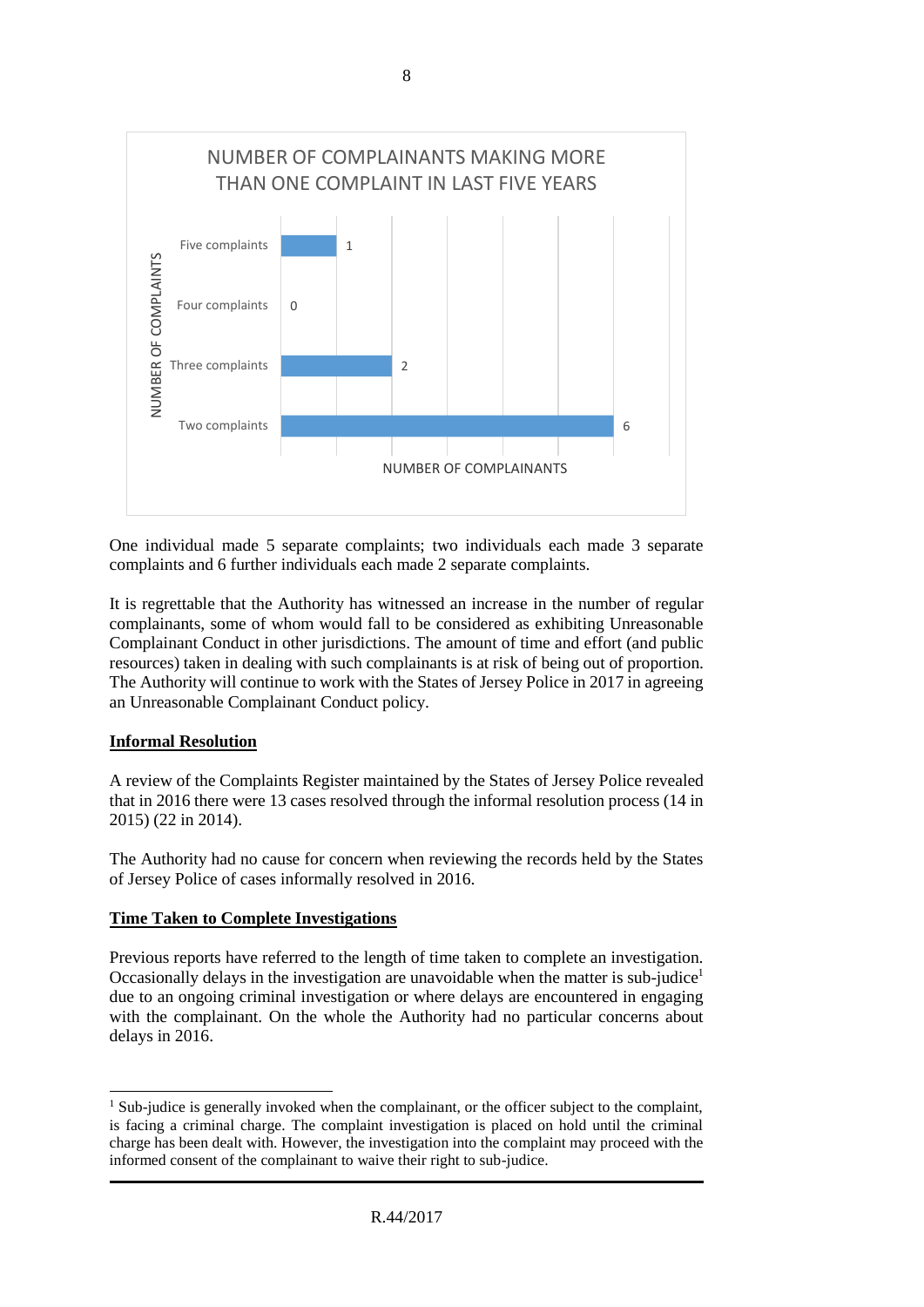

One individual made 5 separate complaints; two individuals each made 3 separate complaints and 6 further individuals each made 2 separate complaints.

It is regrettable that the Authority has witnessed an increase in the number of regular complainants, some of whom would fall to be considered as exhibiting Unreasonable Complainant Conduct in other jurisdictions. The amount of time and effort (and public resources) taken in dealing with such complainants is at risk of being out of proportion. The Authority will continue to work with the States of Jersey Police in 2017 in agreeing an Unreasonable Complainant Conduct policy.

# **Informal Resolution**

 $\overline{a}$ 

A review of the Complaints Register maintained by the States of Jersey Police revealed that in 2016 there were 13 cases resolved through the informal resolution process (14 in 2015) (22 in 2014).

The Authority had no cause for concern when reviewing the records held by the States of Jersey Police of cases informally resolved in 2016.

# **Time Taken to Complete Investigations**

Previous reports have referred to the length of time taken to complete an investigation. Occasionally delays in the investigation are unavoidable when the matter is sub-judice<sup>1</sup> due to an ongoing criminal investigation or where delays are encountered in engaging with the complainant. On the whole the Authority had no particular concerns about delays in 2016.

<sup>&</sup>lt;sup>1</sup> Sub-judice is generally invoked when the complainant, or the officer subject to the complaint, is facing a criminal charge. The complaint investigation is placed on hold until the criminal charge has been dealt with. However, the investigation into the complaint may proceed with the informed consent of the complainant to waive their right to sub-judice.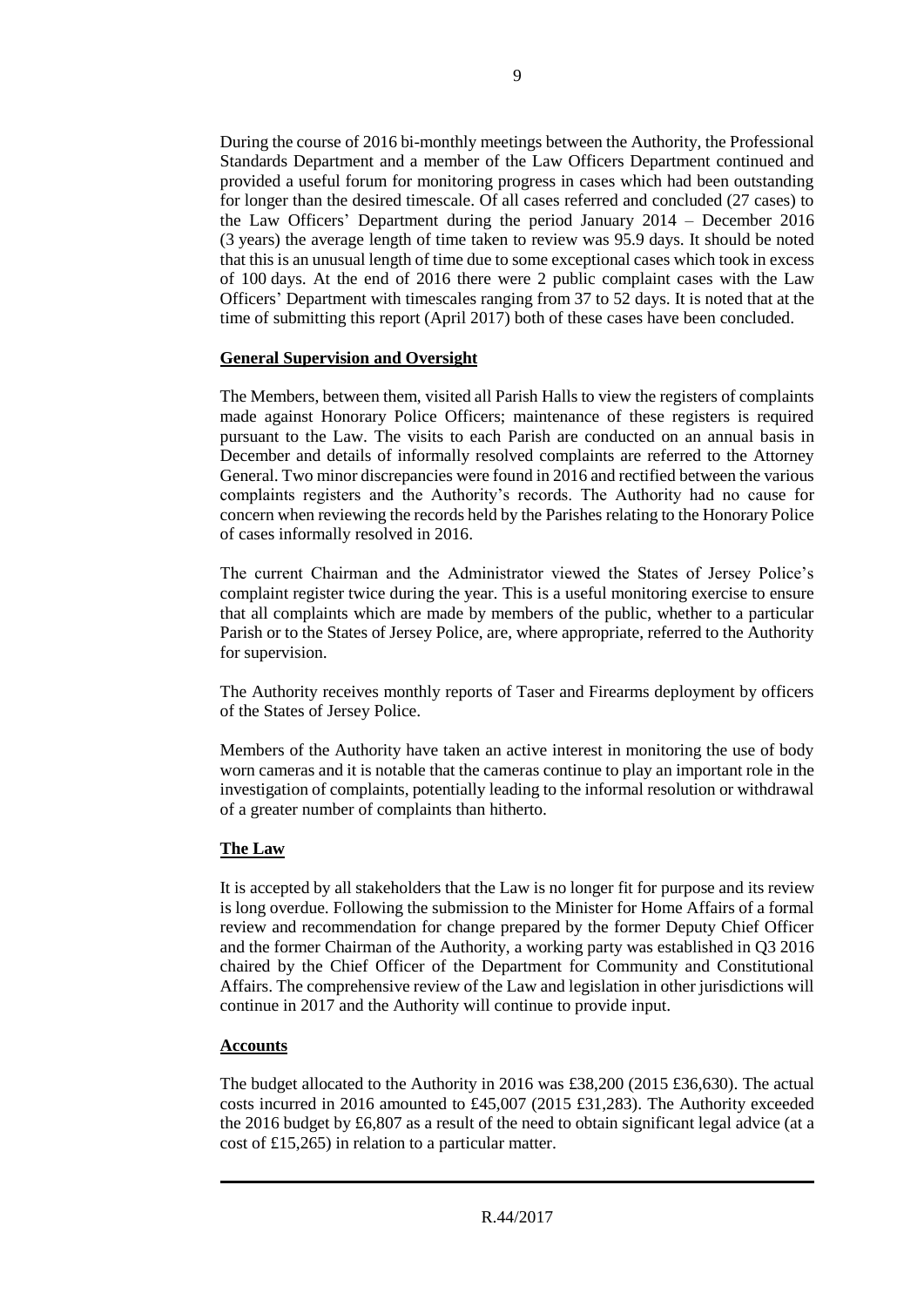During the course of 2016 bi-monthly meetings between the Authority, the Professional Standards Department and a member of the Law Officers Department continued and provided a useful forum for monitoring progress in cases which had been outstanding for longer than the desired timescale. Of all cases referred and concluded (27 cases) to the Law Officers' Department during the period January 2014 – December 2016 (3 years) the average length of time taken to review was 95.9 days. It should be noted that this is an unusual length of time due to some exceptional cases which took in excess of 100 days. At the end of 2016 there were 2 public complaint cases with the Law Officers' Department with timescales ranging from 37 to 52 days. It is noted that at the time of submitting this report (April 2017) both of these cases have been concluded.

#### **General Supervision and Oversight**

The Members, between them, visited all Parish Halls to view the registers of complaints made against Honorary Police Officers; maintenance of these registers is required pursuant to the Law. The visits to each Parish are conducted on an annual basis in December and details of informally resolved complaints are referred to the Attorney General. Two minor discrepancies were found in 2016 and rectified between the various complaints registers and the Authority's records. The Authority had no cause for concern when reviewing the records held by the Parishes relating to the Honorary Police of cases informally resolved in 2016.

The current Chairman and the Administrator viewed the States of Jersey Police's complaint register twice during the year. This is a useful monitoring exercise to ensure that all complaints which are made by members of the public, whether to a particular Parish or to the States of Jersey Police, are, where appropriate, referred to the Authority for supervision.

The Authority receives monthly reports of Taser and Firearms deployment by officers of the States of Jersey Police.

Members of the Authority have taken an active interest in monitoring the use of body worn cameras and it is notable that the cameras continue to play an important role in the investigation of complaints, potentially leading to the informal resolution or withdrawal of a greater number of complaints than hitherto.

# **The Law**

It is accepted by all stakeholders that the Law is no longer fit for purpose and its review is long overdue. Following the submission to the Minister for Home Affairs of a formal review and recommendation for change prepared by the former Deputy Chief Officer and the former Chairman of the Authority, a working party was established in Q3 2016 chaired by the Chief Officer of the Department for Community and Constitutional Affairs. The comprehensive review of the Law and legislation in other jurisdictions will continue in 2017 and the Authority will continue to provide input.

# **Accounts**

The budget allocated to the Authority in 2016 was £38,200 (2015 £36,630). The actual costs incurred in 2016 amounted to £45,007 (2015 £31,283). The Authority exceeded the 2016 budget by £6,807 as a result of the need to obtain significant legal advice (at a cost of £15,265) in relation to a particular matter.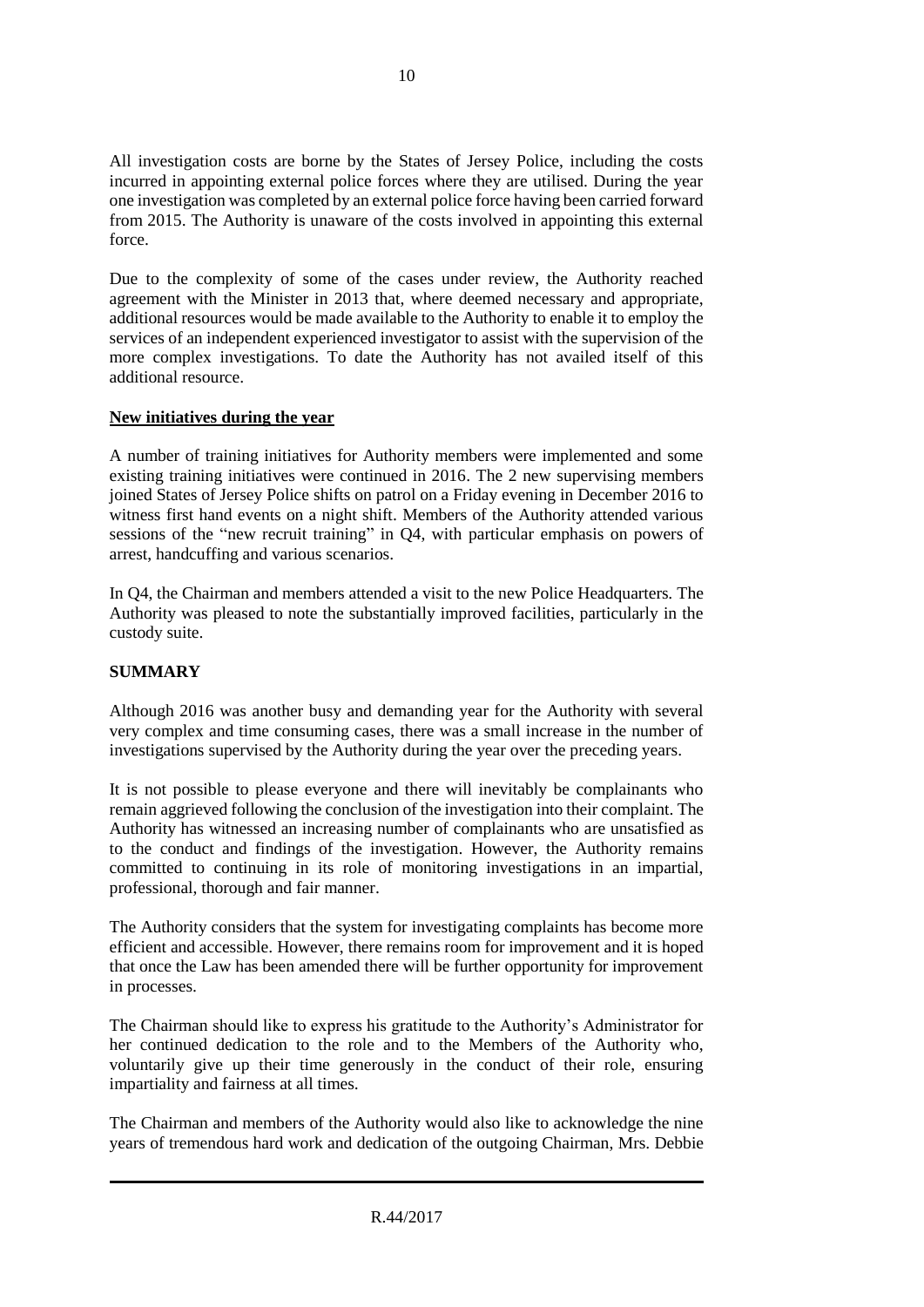All investigation costs are borne by the States of Jersey Police, including the costs incurred in appointing external police forces where they are utilised. During the year one investigation was completed by an external police force having been carried forward from 2015. The Authority is unaware of the costs involved in appointing this external force.

Due to the complexity of some of the cases under review, the Authority reached agreement with the Minister in 2013 that, where deemed necessary and appropriate, additional resources would be made available to the Authority to enable it to employ the services of an independent experienced investigator to assist with the supervision of the more complex investigations. To date the Authority has not availed itself of this additional resource.

# **New initiatives during the year**

A number of training initiatives for Authority members were implemented and some existing training initiatives were continued in 2016. The 2 new supervising members joined States of Jersey Police shifts on patrol on a Friday evening in December 2016 to witness first hand events on a night shift. Members of the Authority attended various sessions of the "new recruit training" in Q4, with particular emphasis on powers of arrest, handcuffing and various scenarios.

In Q4, the Chairman and members attended a visit to the new Police Headquarters. The Authority was pleased to note the substantially improved facilities, particularly in the custody suite.

# **SUMMARY**

Although 2016 was another busy and demanding year for the Authority with several very complex and time consuming cases, there was a small increase in the number of investigations supervised by the Authority during the year over the preceding years.

It is not possible to please everyone and there will inevitably be complainants who remain aggrieved following the conclusion of the investigation into their complaint. The Authority has witnessed an increasing number of complainants who are unsatisfied as to the conduct and findings of the investigation. However, the Authority remains committed to continuing in its role of monitoring investigations in an impartial, professional, thorough and fair manner.

The Authority considers that the system for investigating complaints has become more efficient and accessible. However, there remains room for improvement and it is hoped that once the Law has been amended there will be further opportunity for improvement in processes.

The Chairman should like to express his gratitude to the Authority's Administrator for her continued dedication to the role and to the Members of the Authority who, voluntarily give up their time generously in the conduct of their role, ensuring impartiality and fairness at all times.

The Chairman and members of the Authority would also like to acknowledge the nine years of tremendous hard work and dedication of the outgoing Chairman, Mrs. Debbie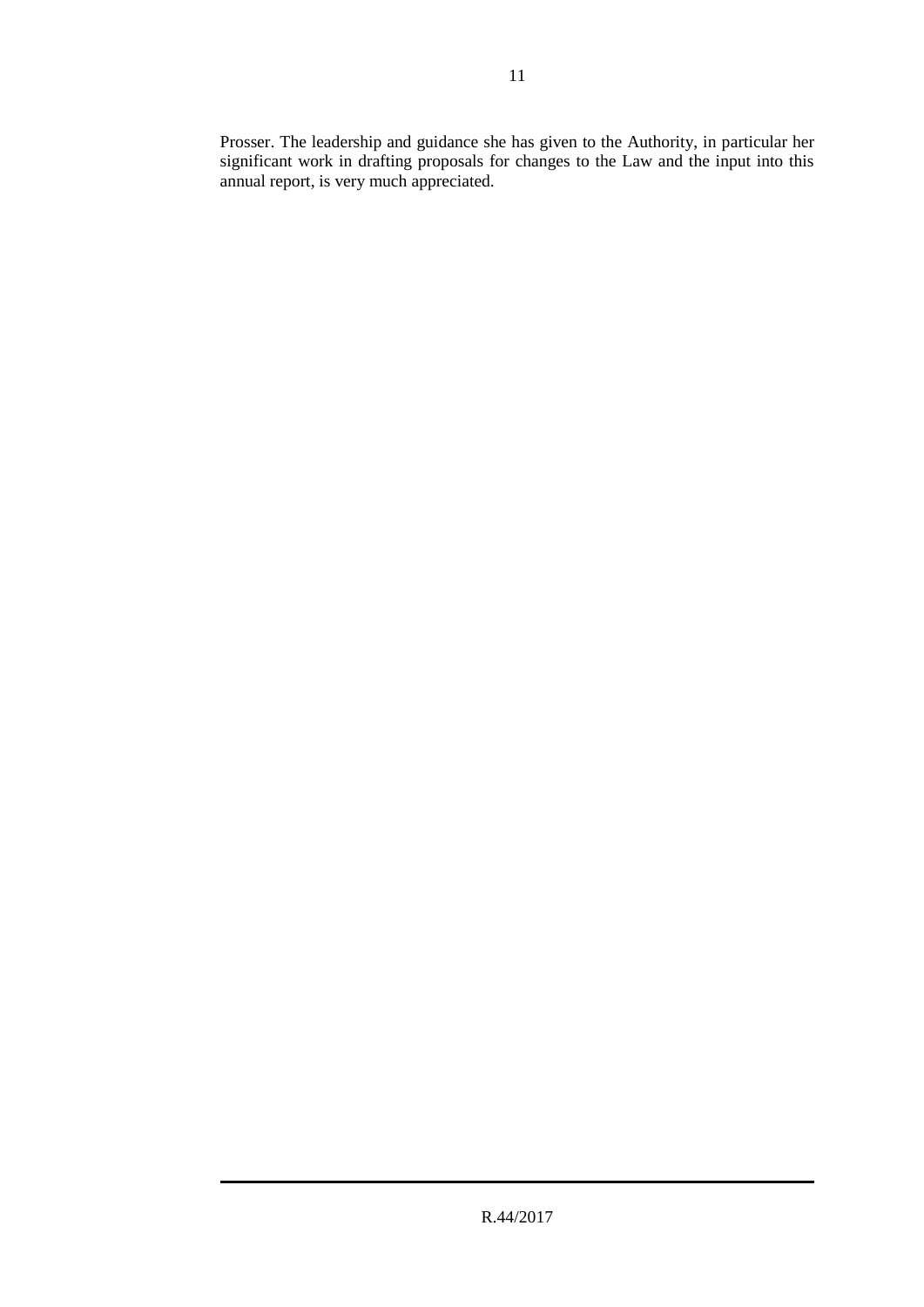Prosser. The leadership and guidance she has given to the Authority, in particular her significant work in drafting proposals for changes to the Law and the input into this annual report, is very much appreciated.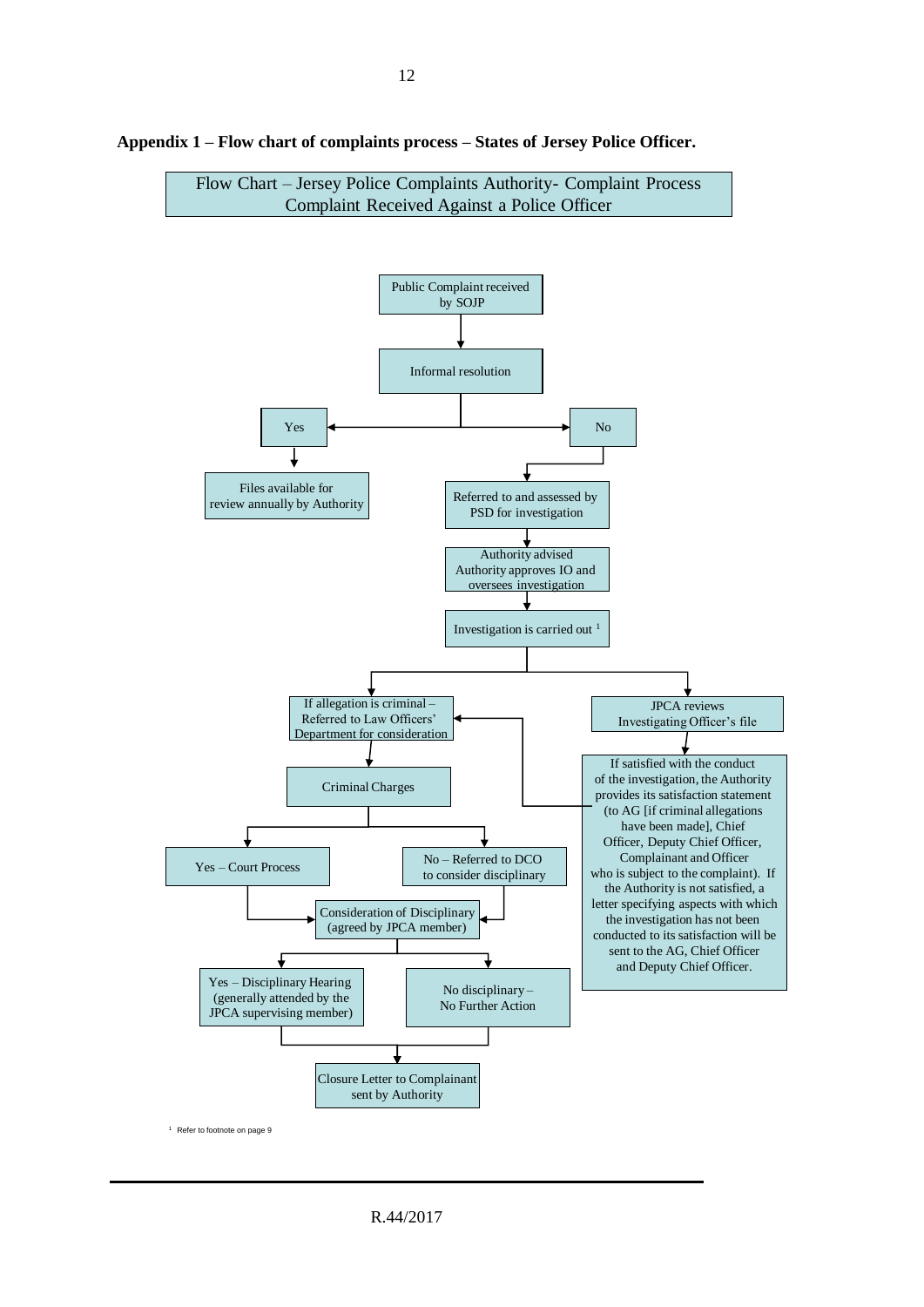

**Appendix 1 – Flow chart of complaints process – States of Jersey Police Officer.**